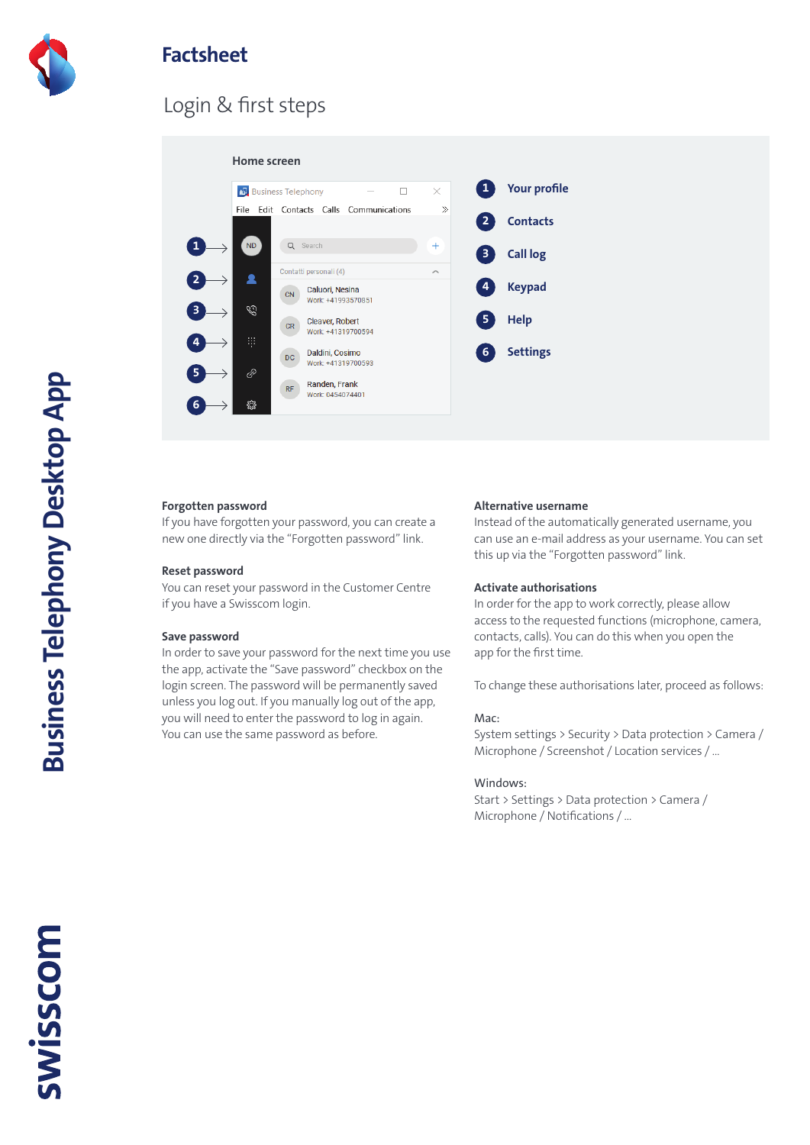

## **Factsheet**

## Login & first steps



#### **Forgotten password**

If you have forgotten your password, you can create a new one directly via the "Forgotten password" link.

#### **Reset password**

You can reset your password in the Customer Centre if you have a Swisscom login.

#### **Save password**

In order to save your password for the next time you use the app, activate the "Save password" checkbox on the login screen. The password will be permanently saved unless you log out. If you manually log out of the app, you will need to enter the password to log in again. You can use the same password as before.

#### **Alternative username**

Instead of the automatically generated username, you can use an e-mail address as your username. You can set this up via the "Forgotten password" link.

#### **Activate authorisations**

In order for the app to work correctly, please allow access to the requested functions (microphone, camera, contacts, calls). You can do this when you open the app for the first time.

To change these authorisations later, proceed as follows:

#### Mac:

System settings > Security > Data protection > Camera / Microphone / Screenshot / Location services / …

#### Windows:

Start > Settings > Data protection > Camera / Microphone / Notifications / …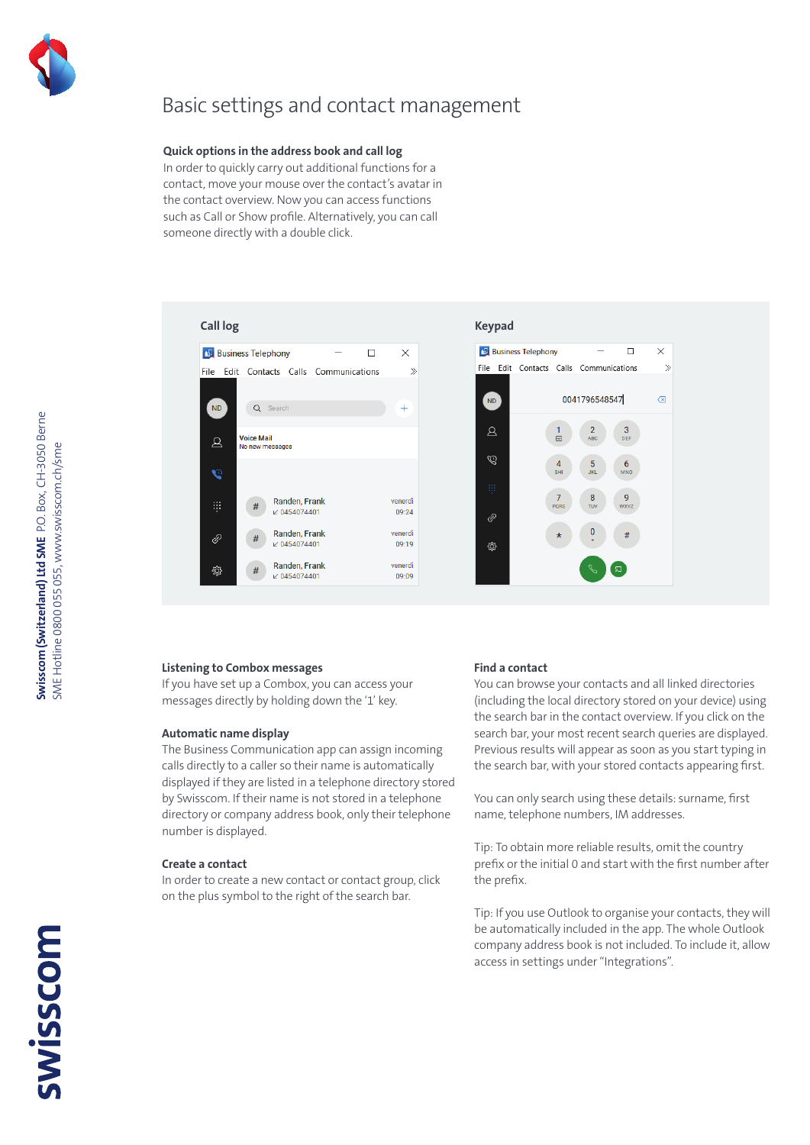

## Basic settings and contact management

#### **Quick options in the address book and call log**

In order to quickly carry out additional functions for a contact, move your mouse over the contact's avatar in the contact overview. Now you can access functions such as Call or Show profile. Alternatively, you can call someone directly with a double click.





#### **Listening to Combox messages**

If you have set up a Combox, you can access your messages directly by holding down the '1' key.

#### **Automatic name display**

The Business Communication app can assign incoming calls directly to a caller so their name is automatically displayed if they are listed in a telephone directory stored by Swisscom. If their name is not stored in a telephone directory or company address book, only their telephone number is displayed.

#### **Create a contact**

In order to create a new contact or contact group, click on the plus symbol to the right of the search bar.

#### **Find a contact**

You can browse your contacts and all linked directories (including the local directory stored on your device) using the search bar in the contact overview. If you click on the search bar, your most recent search queries are displayed. Previous results will appear as soon as you start typing in the search bar, with your stored contacts appearing first.

You can only search using these details: surname, first name, telephone numbers, IM addresses.

Tip: To obtain more reliable results, omit the country prefix or the initial 0 and start with the first number after the prefix.

Tip: If you use Outlook to organise your contacts, they will be automatically included in the app. The whole Outlook company address book is not included. To include it, allow access in settings under "Integrations".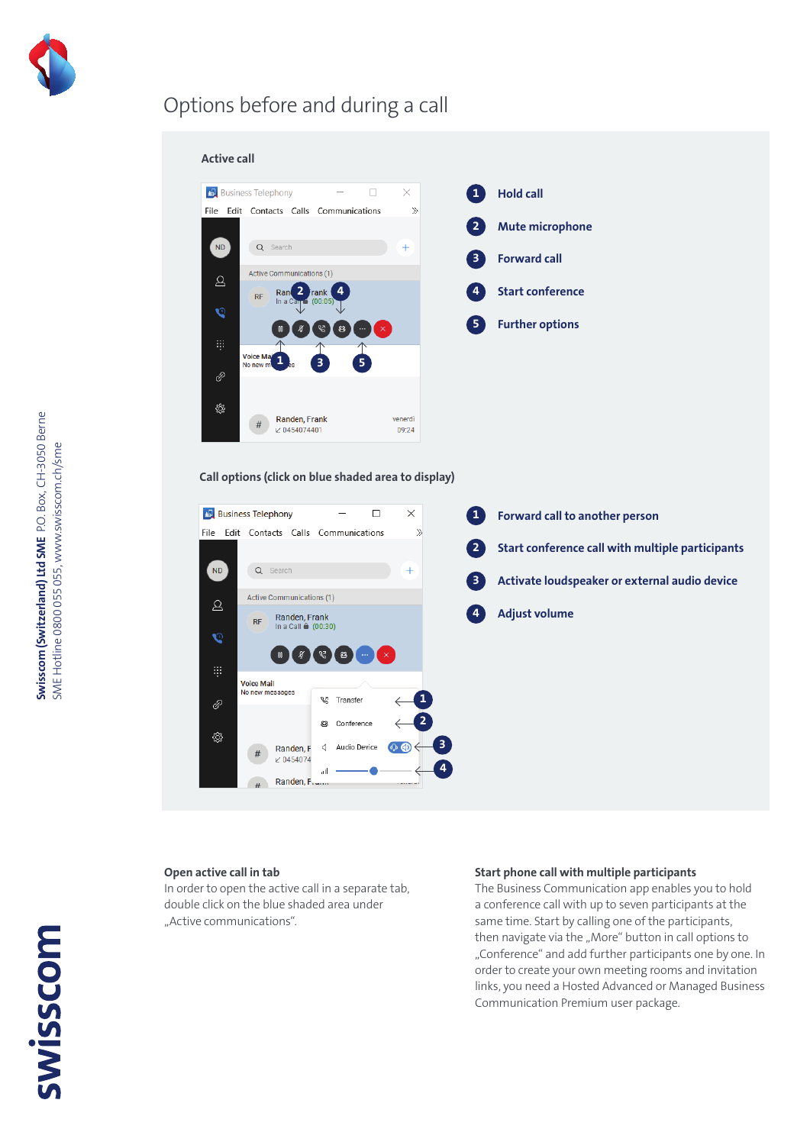

## Options before and during a call



#### **Call options (click on blue shaded area to display)**



#### **Open active call in tab**

In order to open the active call in a separate tab, double click on the blue shaded area under "Active communications".

#### **Start phone call with multiple participants**

The Business Communication app enables you to hold a conference call with up to seven participants at the same time. Start by calling one of the participants, then navigate via the "More" button in call options to "Conference" and add further participants one by one. In order to create your own meeting rooms and invitation links, you need a Hosted Advanced or Managed Business Communication Premium user package.